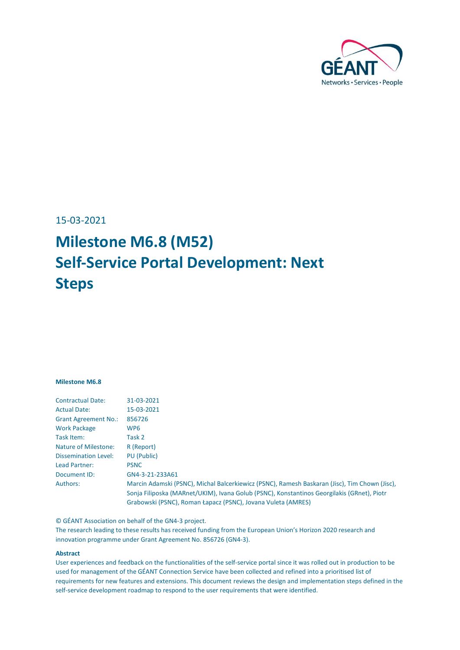

15-03-2021

# **Milestone M6.8 (M52) Self-Service Portal Development: Next Steps**

#### **Milestone M6.8**

| <b>Contractual Date:</b>    | 31-03-2021                                                                                    |
|-----------------------------|-----------------------------------------------------------------------------------------------|
| <b>Actual Date:</b>         | 15-03-2021                                                                                    |
| <b>Grant Agreement No.:</b> | 856726                                                                                        |
| <b>Work Package</b>         | WP6                                                                                           |
| Task Item:                  | Task 2                                                                                        |
| Nature of Milestone:        | R (Report)                                                                                    |
| <b>Dissemination Level:</b> | PU (Public)                                                                                   |
| Lead Partner:               | <b>PSNC</b>                                                                                   |
| Document ID:                | GN4-3-21-233A61                                                                               |
| Authors:                    | Marcin Adamski (PSNC), Michal Balcerkiewicz (PSNC), Ramesh Baskaran (Jisc), Tim Chown (Jisc), |
|                             | Sonja Filiposka (MARnet/UKIM), Ivana Golub (PSNC), Konstantinos Georgilakis (GRnet), Piotr    |
|                             | Grabowski (PSNC), Roman Łapacz (PSNC), Jovana Vuleta (AMRES)                                  |
|                             |                                                                                               |

© GÉANT Association on behalf of the GN4-3 project.

The research leading to these results has received funding from the European Union's Horizon 2020 research and innovation programme under Grant Agreement No. 856726 (GN4-3).

#### **Abstract**

User experiences and feedback on the functionalities of the self-service portal since it was rolled out in production to be used for management of the GÉANT Connection Service have been collected and refined into a prioritised list of requirements for new features and extensions. This document reviews the design and implementation steps defined in the self-service development roadmap to respond to the user requirements that were identified.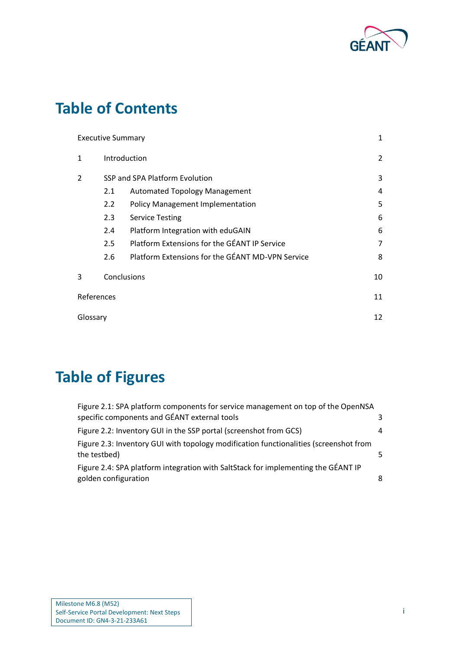

## **Table of Contents**

| <b>Executive Summary</b> |                   |                                                  | $\mathbf{1}$   |
|--------------------------|-------------------|--------------------------------------------------|----------------|
| 1                        | Introduction      |                                                  | $\overline{2}$ |
| $\overline{2}$           |                   | SSP and SPA Platform Evolution                   | 3              |
|                          | 2.1               | <b>Automated Topology Management</b>             | 4              |
|                          | 2.2               | <b>Policy Management Implementation</b>          | 5              |
|                          | 2.3               | <b>Service Testing</b>                           | 6              |
|                          | 2.4               | Platform Integration with eduGAIN                | 6              |
|                          | 2.5               | Platform Extensions for the GÉANT IP Service     | 7              |
|                          | 2.6               | Platform Extensions for the GÉANT MD-VPN Service | 8              |
| 3                        | Conclusions<br>10 |                                                  |                |
| References               |                   |                                                  | 11             |
| Glossary                 |                   |                                                  | 12             |

# **Table of Figures**

| Figure 2.1: SPA platform components for service management on top of the OpenNSA                          |    |
|-----------------------------------------------------------------------------------------------------------|----|
| specific components and GÉANT external tools                                                              | 3  |
| Figure 2.2: Inventory GUI in the SSP portal (screenshot from GCS)                                         | 4  |
| Figure 2.3: Inventory GUI with topology modification functionalities (screenshot from<br>the testbed)     | 5. |
| Figure 2.4: SPA platform integration with SaltStack for implementing the GÉANT IP<br>golden configuration | 8  |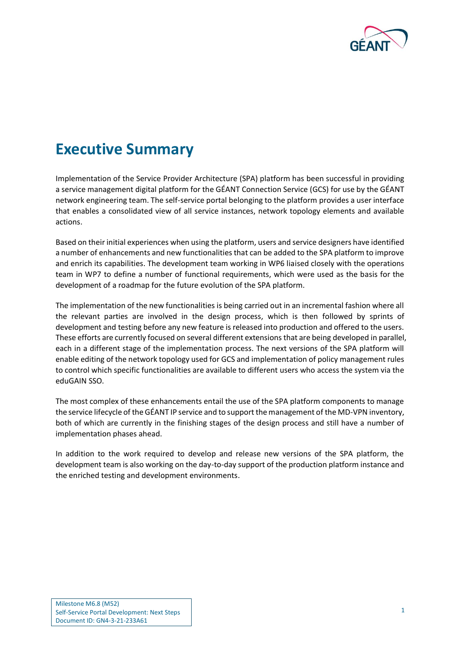

# <span id="page-2-0"></span>**Executive Summary**

Implementation of the Service Provider Architecture (SPA) platform has been successful in providing a service management digital platform for the GÉANT Connection Service (GCS) for use by the GÉANT network engineering team. The self-service portal belonging to the platform provides a user interface that enables a consolidated view of all service instances, network topology elements and available actions.

Based on their initial experiences when using the platform, users and service designers have identified a number of enhancements and new functionalities that can be added to the SPA platform to improve and enrich its capabilities. The development team working in WP6 liaised closely with the operations team in WP7 to define a number of functional requirements, which were used as the basis for the development of a roadmap for the future evolution of the SPA platform.

The implementation of the new functionalities is being carried out in an incremental fashion where all the relevant parties are involved in the design process, which is then followed by sprints of development and testing before any new feature is released into production and offered to the users. These efforts are currently focused on several different extensions that are being developed in parallel, each in a different stage of the implementation process. The next versions of the SPA platform will enable editing of the network topology used for GCS and implementation of policy management rules to control which specific functionalities are available to different users who access the system via the eduGAIN SSO.

The most complex of these enhancements entail the use of the SPA platform components to manage the service lifecycle of the GÉANT IP service and to support the management of the MD-VPN inventory, both of which are currently in the finishing stages of the design process and still have a number of implementation phases ahead.

In addition to the work required to develop and release new versions of the SPA platform, the development team is also working on the day-to-day support of the production platform instance and the enriched testing and development environments.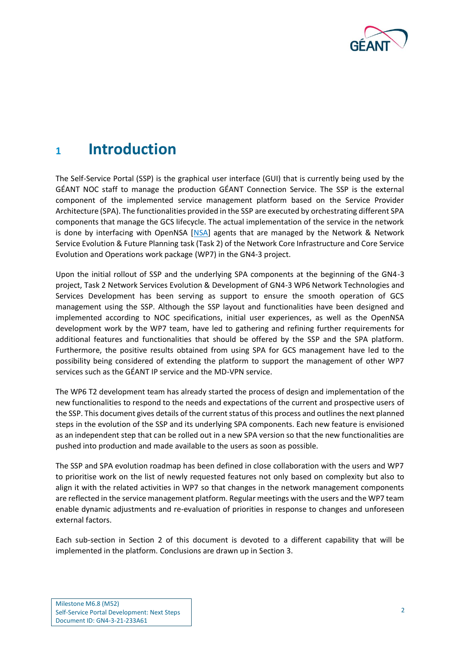

## <span id="page-3-0"></span>**<sup>1</sup> Introduction**

The Self-Service Portal (SSP) is the graphical user interface (GUI) that is currently being used by the GÉANT NOC staff to manage the production GÉANT Connection Service. The SSP is the external component of the implemented service management platform based on the Service Provider Architecture (SPA). The functionalities provided in the SSP are executed by orchestrating different SPA components that manage the GCS lifecycle. The actual implementation of the service in the network is done by interfacing with OpenNSA [\[NSA\]](#page-12-1) agents that are managed by the Network & Network Service Evolution & Future Planning task (Task 2) of the Network Core Infrastructure and Core Service Evolution and Operations work package (WP7) in the GN4-3 project.

Upon the initial rollout of SSP and the underlying SPA components at the beginning of the GN4-3 project, Task 2 Network Services Evolution & Development of GN4-3 WP6 Network Technologies and Services Development has been serving as support to ensure the smooth operation of GCS management using the SSP. Although the SSP layout and functionalities have been designed and implemented according to NOC specifications, initial user experiences, as well as the OpenNSA development work by the WP7 team, have led to gathering and refining further requirements for additional features and functionalities that should be offered by the SSP and the SPA platform. Furthermore, the positive results obtained from using SPA for GCS management have led to the possibility being considered of extending the platform to support the management of other WP7 services such as the GÉANT IP service and the MD-VPN service.

The WP6 T2 development team has already started the process of design and implementation of the new functionalities to respond to the needs and expectations of the current and prospective users of the SSP. This document gives details of the current status of this process and outlines the next planned steps in the evolution of the SSP and its underlying SPA components. Each new feature is envisioned as an independent step that can be rolled out in a new SPA version so that the new functionalities are pushed into production and made available to the users as soon as possible.

The SSP and SPA evolution roadmap has been defined in close collaboration with the users and WP7 to prioritise work on the list of newly requested features not only based on complexity but also to align it with the related activities in WP7 so that changes in the network management components are reflected in the service management platform. Regular meetings with the users and the WP7 team enable dynamic adjustments and re-evaluation of priorities in response to changes and unforeseen external factors.

Each sub-section in Section [2](#page-4-0) of this document is devoted to a different capability that will be implemented in the platform. Conclusions are drawn up in Section [3.](#page-11-0)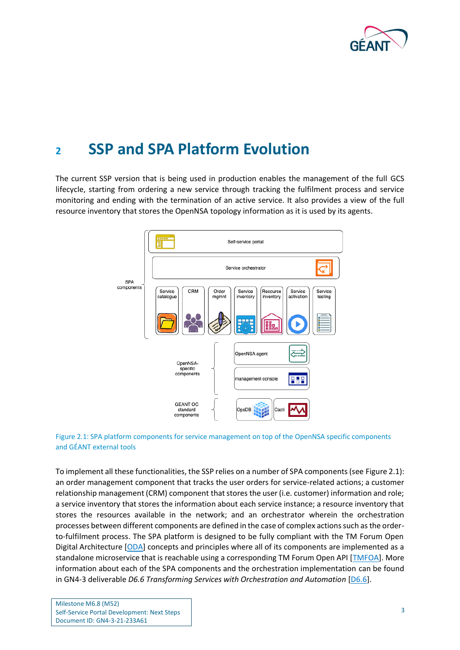

## <span id="page-4-0"></span>**<sup>2</sup> SSP and SPA Platform Evolution**

The current SSP version that is being used in production enables the management of the full GCS lifecycle, starting from ordering a new service through tracking the fulfilment process and service monitoring and ending with the termination of an active service. It also provides a view of the full resource inventory that stores the OpenNSA topology information as it is used by its agents.



<span id="page-4-1"></span>

To implement all these functionalities, the SSP relies on a number of SPA components (see [Figure 2.1\)](#page-4-1): an order management component that tracks the user orders for service-related actions; a customer relationship management (CRM) component that stores the user (i.e. customer) information and role; a service inventory that stores the information about each service instance; a resource inventory that stores the resources available in the network; and an orchestrator wherein the orchestration processes between different components are defined in the case of complex actions such as the orderto-fulfilment process. The SPA platform is designed to be fully compliant with the TM Forum Open Digital Architecture [\[ODA\]](#page-12-2) concepts and principles where all of its components are implemented as a standalone microservice that is reachable using a corresponding TM Forum Open API [\[TMFOA\]](#page-12-3). More information about each of the SPA components and the orchestration implementation can be found in GN4-3 deliverable *D6.6 Transforming Services with Orchestration and Automation* [\[D6.6\]](#page-12-4).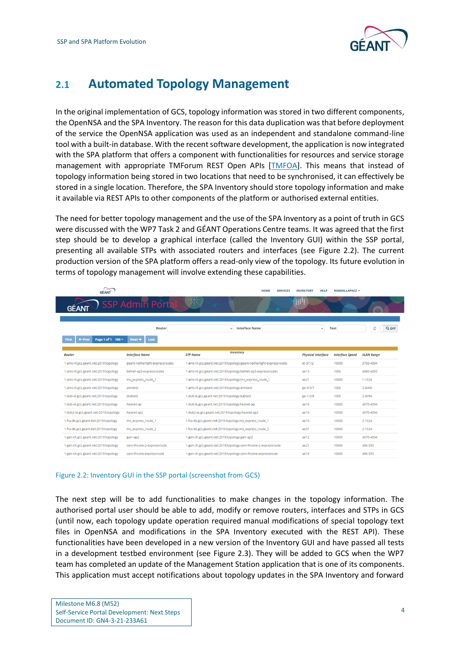

### <span id="page-5-0"></span>**2.1 Automated Topology Management**

In the original implementation of GCS, topology information was stored in two different components, the OpenNSA and the SPA Inventory. The reason for this data duplication was that before deployment of the service the OpenNSA application was used as an independent and standalone command-line tool with a built-in database. With the recent software development, the application is now integrated with the SPA platform that offers a component with functionalities for resources and service storage management with appropriate TMForum REST Open APIs [TMFOA]. This means that instead of topology information being stored in two locations that need to be synchronised, it can effectively be stored in a single location. Therefore, the SPA Inventory should store topology information and make it available via REST APIs to other components of the platform or authorised external entities.

The need for better topology management and the use of the SPA Inventory as a point of truth in GCS were discussed with the WP7 Task 2 and GÉANT Operations Centre teams. It was agreed that the first step should be to develop a graphical interface (called the Inventory GUI) within the SSP portal, presenting all available STPs with associated routers and interfaces (see [Figure 2.2\)](#page-5-1). The current production version of the SPA platform offers a read-only view of the topology. Its future evolution in terms of topology management will involve extending these capabilities.

|                                               |                                 | <b>HOME</b><br><b>SERVICES</b>                                       | <b>INVENTORY</b><br><b>HELP</b> | ROMAN.ŁAPACZ -         |                   |
|-----------------------------------------------|---------------------------------|----------------------------------------------------------------------|---------------------------------|------------------------|-------------------|
|                                               | SSP Admin Porta                 |                                                                      |                                 |                        |                   |
|                                               | Router                          | <b>Interface Name</b><br>$\checkmark$                                | $\checkmark$                    | <b>Text</b>            | ø<br>Q OFF        |
| Page 1 of 1 100 $\times$<br>First<br>$+$ Prev | $Next \rightarrow$<br>Last      |                                                                      |                                 |                        |                   |
| <b>Router</b>                                 | <b>Interface Name</b>           | <b>Inventory</b><br><b>STP Name</b>                                  | <b>Physical Interface</b>       | <b>Interface Speed</b> | <b>VLAN Range</b> |
| 1-ams-nl.gcs.geant.net:2019:topology          | geant-netherlight-expressroutes | 1-ams-nl.gcs.geant.net:2019:topology:geant-netherlight-expressroutes | $et-3/1/2$                      | 10000                  | 3750-4094         |
| 1-ams-nl.gcs.geant.net:2019:topology          | belnet-ap3-expressroutes        | 1-ams-nl.gcs.geant.net:2019:topology:belnet-ap3-expressroutes        | ae13                            | 1000                   | 4080-4093         |
| 1-ams-nl.gcs.geant.net:2019:topology          | ms_express_route_1              | 1-ams-nl.gcs.geant.net:2019:topology:ms_express_route_1              | ae21                            | 10000                  | $1 - 1024$        |
| 1-ams-nl.gcs.geant.net:2019:topology          | amstest                         | 1-ams-nl.gcs.geant.net:2019:topology:amstest                         | ge-0/3/7                        | 1000                   | 2-4000            |
| 1-dub-ie.gcs.geant.net:2019:topology          | dubtest                         | 1-dub-ie.gcs.geant.net:2019:topology:dubtest                         | ge-1/2/8                        | 1000                   | 2-4094            |
| 1-dub-ie.gcs.geant.net:2019:topology          | heanet-ap                       | 1-dub-ie.gcs.geant.net:2019:topology:heanet-ap                       | ae10                            | 10000                  | 4070-4094         |
| 1-dub2-ie.gcs.geant.net:2019:topology         | heanet-ap2                      | 1-dub2-ie.gcs.geant.net:2019:topology:heanet-ap2                     | ae10                            | 10000                  | 4070-4094         |
| 1-fra-de.gcs.geant.net:2019:topology          | ms_express_route_1              | 1-fra-de.gcs.geant.net:2019:topology:ms_express_route_1              | ae10                            | 10000                  | $2 - 1024$        |
| 1-fra-de.gcs.geant.net:2019:topology          | ms_express_route_2              | 1-fra-de.gcs.geant.net:2019:topology:ms express route 2              | ae31                            | 10000                  | 2-1024            |
| 1-gen-ch.gcs.geant.net:2019:topology          | garr-ap2                        | 1-gen-ch.gcs.geant.net:2019:topology:garr-ap2                        | ae12                            | 10000                  | 4070-4094         |
| 1-gen-ch.gcs.geant.net:2019:topology          | cern-lhcone-2-expressroute      | 1-gen-ch.gcs.geant.net:2019:topology:cern-lhcone-2-expressroute      | ae21                            | 10000                  | 496-550           |
| 1-gen-ch.gcs.geant.net:2019:topology          | cern-lhcone-expressroute        | 1-gen-ch.gcs.geant.net:2019:topology:cern-lhcone-expressroute        | ae10                            | 10000                  | 496-550           |

#### <span id="page-5-1"></span>Figure 2.2: Inventory GUI in the SSP portal (screenshot from GCS)

The next step will be to add functionalities to make changes in the topology information. The authorised portal user should be able to add, modify or remove routers, interfaces and STPs in GCS (until now, each topology update operation required manual modifications of special topology text files in OpenNSA and modifications in the SPA Inventory executed with the REST API). These functionalities have been developed in a new version of the Inventory GUI and have passed all tests in a development testbed environment (see [Figure 2.3\)](#page-6-1). They will be added to GCS when the WP7 team has completed an update of the Management Station application that is one of its components. This application must accept notifications about topology updates in the SPA Inventory and forward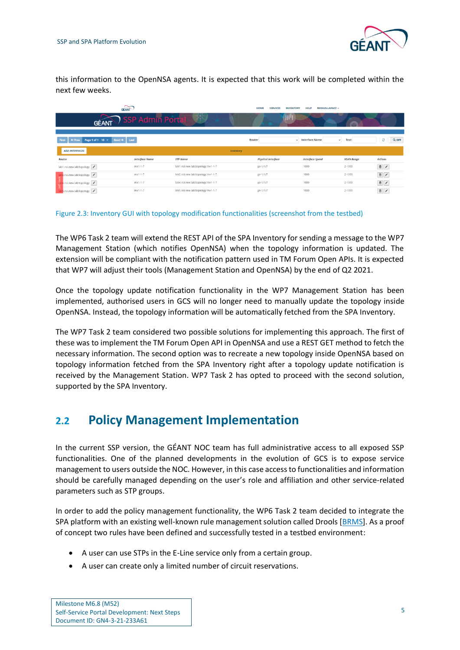

this information to the OpenNSA agents. It is expected that this work will be completed within the next few weeks.

|                                                        | <b>GÉANT</b>          |                                   |           | <b>HOME</b><br><b>INVENTORY</b><br><b>SERVICES</b> | <b>HELP</b><br>ROMAN.ŁAPACZ -         |                      |                      |
|--------------------------------------------------------|-----------------------|-----------------------------------|-----------|----------------------------------------------------|---------------------------------------|----------------------|----------------------|
| <b>GÉANT</b>                                           | SSP Admin Porta       | $\mathbb{R}^{\bullet}$            |           | 414                                                |                                       |                      |                      |
|                                                        |                       |                                   |           |                                                    |                                       |                      |                      |
| $Next +$ Last<br>First<br>Page 1 of 1 10 v<br>$+$ Prev |                       |                                   |           | Router                                             | <b>Interface Name</b><br>$\checkmark$ | Text<br>$\checkmark$ | ø<br>Q OFF           |
| <b>ADD INTERFACES</b>                                  |                       |                                   | Inventory |                                                    |                                       |                      |                      |
| Router                                                 | <b>Interface Name</b> | <b>STP Name</b>                   |           | <b>Physical Interface</b>                          | <b>Interface Speed</b>                | <b>VLAN Range</b>    | <b>Actions</b>       |
| lab1.nsi.new.lab.topology                              | $mx1 - 1 - 7$         | lab1.nsi.new.lab:topology:mx1-1-7 |           | ge-1/1/7                                           | 1000                                  | $2 - 1000$           |                      |
| 2.nsi.new.lab.topology                                 | $mx1 - 1 - 7$         | lab2.nsi.new.lab:topology:mx1-1-7 |           | ge-1/1/7                                           | 1000                                  | $2 - 1000$           | ■∥                   |
| 4.nsi.new.lab.topology                                 | $mx1 - 1 - 7$         | lab4.nsi.new.lab:topology:mx1-1-7 |           | ge-1/1/7                                           | 1000                                  | $2 - 1000$           |                      |
| 5.nsi.new.lab.topology                                 | $mx1 - 1 - 7$         | lab5.nsi.new.lab:topology:mx1-1-7 |           | ge-1/1/7                                           | 1000                                  | $2 - 1000$           | $\hat{\mathbb{E}}$ / |

#### <span id="page-6-1"></span>Figure 2.3: Inventory GUI with topology modification functionalities (screenshot from the testbed)

The WP6 Task 2 team will extend the REST API of the SPA Inventory for sending a message to the WP7 Management Station (which notifies OpenNSA) when the topology information is updated. The extension will be compliant with the notification pattern used in TM Forum Open APIs. It is expected that WP7 will adjust their tools (Management Station and OpenNSA) by the end of Q2 2021.

Once the topology update notification functionality in the WP7 Management Station has been implemented, authorised users in GCS will no longer need to manually update the topology inside OpenNSA. Instead, the topology information will be automatically fetched from the SPA Inventory.

The WP7 Task 2 team considered two possible solutions for implementing this approach. The first of these was to implement the TM Forum Open API in OpenNSA and use a REST GET method to fetch the necessary information. The second option was to recreate a new topology inside OpenNSA based on topology information fetched from the SPA Inventory right after a topology update notification is received by the Management Station. WP7 Task 2 has opted to proceed with the second solution, supported by the SPA Inventory.

### <span id="page-6-0"></span>**2.2 Policy Management Implementation**

In the current SSP version, the GÉANT NOC team has full administrative access to all exposed SSP functionalities. One of the planned developments in the evolution of GCS is to expose service management to users outside the NOC. However, in this case access to functionalities and information should be carefully managed depending on the user's role and affiliation and other service-related parameters such as STP groups.

In order to add the policy management functionality, the WP6 Task 2 team decided to integrate the SPA platform with an existing well-known rule management solution called Drools [\[BRMS\]](#page-12-5). As a proof of concept two rules have been defined and successfully tested in a testbed environment:

- A user can use STPs in the E-Line service only from a certain group.
- A user can create only a limited number of circuit reservations.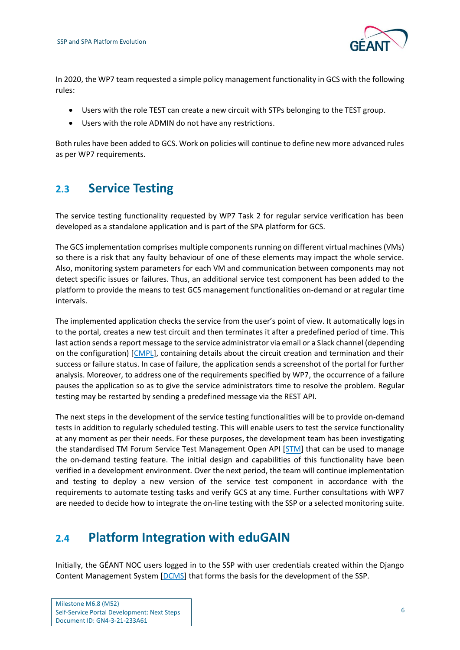

In 2020, the WP7 team requested a simple policy management functionality in GCS with the following rules:

- Users with the role TEST can create a new circuit with STPs belonging to the TEST group.
- Users with the role ADMIN do not have any restrictions.

Both rules have been added to GCS. Work on policies will continue to define new more advanced rules as per WP7 requirements.

### <span id="page-7-0"></span>**2.3 Service Testing**

The service testing functionality requested by WP7 Task 2 for regular service verification has been developed as a standalone application and is part of the SPA platform for GCS.

The GCS implementation comprises multiple components running on different virtual machines (VMs) so there is a risk that any faulty behaviour of one of these elements may impact the whole service. Also, monitoring system parameters for each VM and communication between components may not detect specific issues or failures. Thus, an additional service test component has been added to the platform to provide the means to test GCS management functionalities on-demand or at regular time intervals.

The implemented application checks the service from the user's point of view. It automatically logs in to the portal, creates a new test circuit and then terminates it after a predefined period of time. This last action sends a report message to the service administrator via email or a Slack channel (depending on the configuration) [\[CMPL\]](#page-12-6), containing details about the circuit creation and termination and their success or failure status. In case of failure, the application sends a screenshot of the portal for further analysis. Moreover, to address one of the requirements specified by WP7, the occurrence of a failure pauses the application so as to give the service administrators time to resolve the problem. Regular testing may be restarted by sending a predefined message via the REST API.

The next steps in the development of the service testing functionalities will be to provide on-demand tests in addition to regularly scheduled testing. This will enable users to test the service functionality at any moment as per their needs. For these purposes, the development team has been investigating the standardised TM Forum Service Test Management Open API [\[STM\]](#page-12-7) that can be used to manage the on-demand testing feature. The initial design and capabilities of this functionality have been verified in a development environment. Over the next period, the team will continue implementation and testing to deploy a new version of the service test component in accordance with the requirements to automate testing tasks and verify GCS at any time. Further consultations with WP7 are needed to decide how to integrate the on-line testing with the SSP or a selected monitoring suite.

## <span id="page-7-1"></span>**2.4 Platform Integration with eduGAIN**

Initially, the GÉANT NOC users logged in to the SSP with user credentials created within the Django Content Management System [\[DCMS\]](#page-12-8) that forms the basis for the development of the SSP.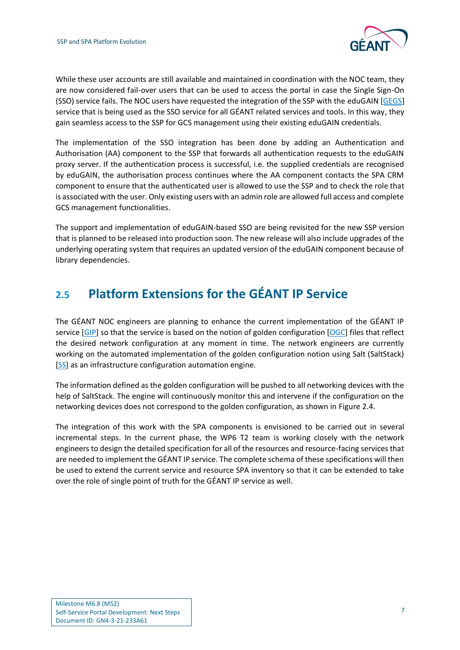

While these user accounts are still available and maintained in coordination with the NOC team, they are now considered fail-over users that can be used to access the portal in case the Single Sign-On (SSO) service fails. The NOC users have requested the integration of the SSP with the eduGAIN [\[GEGS\]](#page-12-9) service that is being used as the SSO service for all GÉANT related services and tools. In this way, they gain seamless access to the SSP for GCS management using their existing eduGAIN credentials.

The implementation of the SSO integration has been done by adding an Authentication and Authorisation (AA) component to the SSP that forwards all authentication requests to the eduGAIN proxy server. If the authentication process is successful, i.e. the supplied credentials are recognised by eduGAIN, the authorisation process continues where the AA component contacts the SPA CRM component to ensure that the authenticated user is allowed to use the SSP and to check the role that is associated with the user. Only existing users with an admin role are allowed full access and complete GCS management functionalities.

The support and implementation of eduGAIN-based SSO are being revisited for the new SSP version that is planned to be released into production soon. The new release will also include upgrades of the underlying operating system that requires an updated version of the eduGAIN component because of library dependencies.

## <span id="page-8-0"></span>**2.5 Platform Extensions for the GÉANT IP Service**

The GÉANT NOC engineers are planning to enhance the current implementation of the GÉANT IP service [\[GIP\]](#page-12-10) so that the service is based on the notion of golden configuration [\[OGC\]](#page-12-11) files that reflect the desired network configuration at any moment in time. The network engineers are currently working on the automated implementation of the golden configuration notion using Salt (SaltStack) [\[SS\]](#page-12-12) as an infrastructure configuration automation engine.

The information defined as the golden configuration will be pushed to all networking devices with the help of SaltStack. The engine will continuously monitor this and intervene if the configuration on the networking devices does not correspond to the golden configuration, as shown in [Figure 2.4.](#page-9-1)

The integration of this work with the SPA components is envisioned to be carried out in several incremental steps. In the current phase, the WP6 T2 team is working closely with the network engineers to design the detailed specification for all of the resources and resource-facing services that are needed to implement the GÉANT IP service. The complete schema of these specifications will then be used to extend the current service and resource SPA inventory so that it can be extended to take over the role of single point of truth for the GÉANT IP service as well.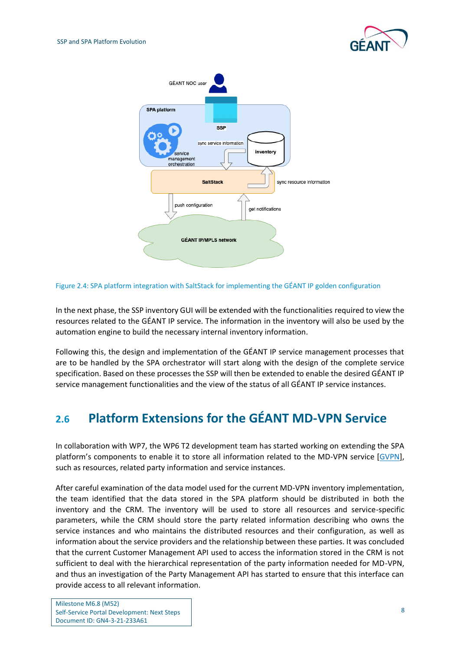



<span id="page-9-1"></span>Figure 2.4: SPA platform integration with SaltStack for implementing the GÉANT IP golden configuration

In the next phase, the SSP inventory GUI will be extended with the functionalities required to view the resources related to the GÉANT IP service. The information in the inventory will also be used by the automation engine to build the necessary internal inventory information.

Following this, the design and implementation of the GÉANT IP service management processes that are to be handled by the SPA orchestrator will start along with the design of the complete service specification. Based on these processes the SSP will then be extended to enable the desired GÉANT IP service management functionalities and the view of the status of all GÉANT IP service instances.

## <span id="page-9-0"></span>**2.6 Platform Extensions for the GÉANT MD-VPN Service**

In collaboration with WP7, the WP6 T2 development team has started working on extending the SPA platform's components to enable it to store all information related to the MD-VPN service [\[GVPN\]](#page-12-13), such as resources, related party information and service instances.

After careful examination of the data model used for the current MD-VPN inventory implementation, the team identified that the data stored in the SPA platform should be distributed in both the inventory and the CRM. The inventory will be used to store all resources and service-specific parameters, while the CRM should store the party related information describing who owns the service instances and who maintains the distributed resources and their configuration, as well as information about the service providers and the relationship between these parties. It was concluded that the current Customer Management API used to access the information stored in the CRM is not sufficient to deal with the hierarchical representation of the party information needed for MD-VPN, and thus an investigation of the Party Management API has started to ensure that this interface can provide access to all relevant information.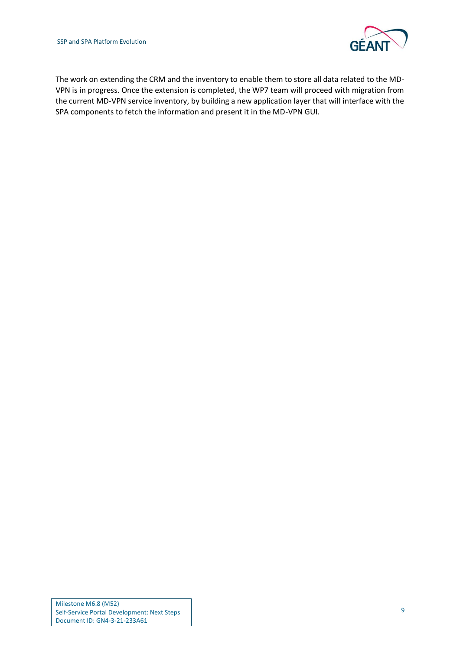

The work on extending the CRM and the inventory to enable them to store all data related to the MD-VPN is in progress. Once the extension is completed, the WP7 team will proceed with migration from the current MD-VPN service inventory, by building a new application layer that will interface with the SPA components to fetch the information and present it in the MD-VPN GUI.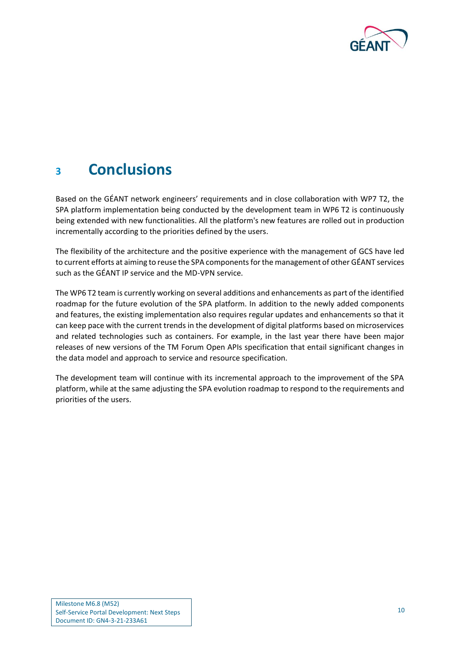

## <span id="page-11-0"></span>**<sup>3</sup> Conclusions**

Based on the GÉANT network engineers' requirements and in close collaboration with WP7 T2, the SPA platform implementation being conducted by the development team in WP6 T2 is continuously being extended with new functionalities. All the platform's new features are rolled out in production incrementally according to the priorities defined by the users.

The flexibility of the architecture and the positive experience with the management of GCS have led to current efforts at aiming to reuse the SPA componentsfor the management of other GÉANT services such as the GÉANT IP service and the MD-VPN service.

The WP6 T2 team is currently working on several additions and enhancements as part of the identified roadmap for the future evolution of the SPA platform. In addition to the newly added components and features, the existing implementation also requires regular updates and enhancements so that it can keep pace with the current trends in the development of digital platforms based on microservices and related technologies such as containers. For example, in the last year there have been major releases of new versions of the TM Forum Open APIs specification that entail significant changes in the data model and approach to service and resource specification.

The development team will continue with its incremental approach to the improvement of the SPA platform, while at the same adjusting the SPA evolution roadmap to respond to the requirements and priorities of the users.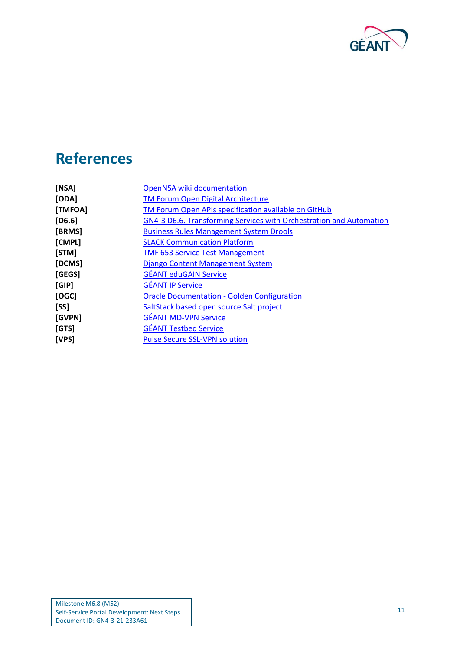

# <span id="page-12-0"></span>**References**

<span id="page-12-13"></span><span id="page-12-12"></span><span id="page-12-11"></span><span id="page-12-10"></span><span id="page-12-9"></span><span id="page-12-8"></span><span id="page-12-7"></span><span id="page-12-6"></span><span id="page-12-5"></span><span id="page-12-4"></span><span id="page-12-3"></span><span id="page-12-2"></span><span id="page-12-1"></span>

| [NSA]        | <b>OpenNSA wiki documentation</b>                                   |
|--------------|---------------------------------------------------------------------|
| [ODA]        | <b>TM Forum Open Digital Architecture</b>                           |
| [TMFOA]      | TM Forum Open APIs specification available on GitHub                |
| [D6.6]       | GN4-3 D6.6. Transforming Services with Orchestration and Automation |
| [BRMS]       | <b>Business Rules Management System Drools</b>                      |
| [CMPL]       | <b>SLACK Communication Platform</b>                                 |
| [STM]        | <b>TMF 653 Service Test Management</b>                              |
| [DCMS]       | Django Content Management System                                    |
| [GEGS]       | <b>GÉANT eduGAIN Service</b>                                        |
| [GIP]        | <b>GÉANT IP Service</b>                                             |
| [OGC]        | <b>Oracle Documentation - Golden Configuration</b>                  |
| [SS]         | SaltStack based open source Salt project                            |
| [GVPN]       | <b>GÉANT MD-VPN Service</b>                                         |
| [GTS]        | <b>GÉANT Testbed Service</b>                                        |
| <b>[VPS]</b> | <b>Pulse Secure SSL-VPN solution</b>                                |